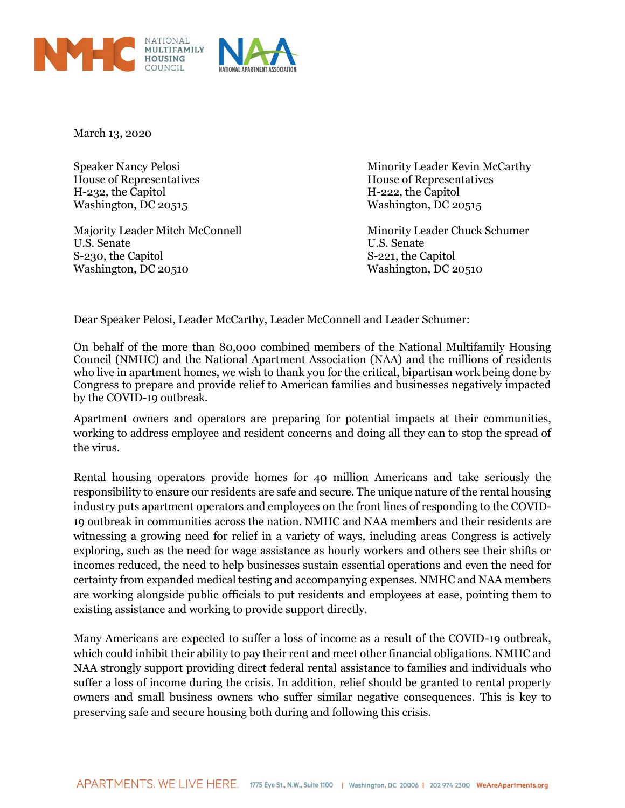



March 13, 2020

House of Representatives House of Representatives H-232, the Capitol H-222, the Capitol Washington, DC 20515

Majority Leader Mitch McConnell Minority Leader Chuck Schumer U.S. Senate U.S. Senate S-230, the Capitol S-221, the Capitol Washington, DC 20510 Washington, DC 20510

Speaker Nancy Pelosi **Minority Leader Kevin McCarthy** 

Dear Speaker Pelosi, Leader McCarthy, Leader McConnell and Leader Schumer:

On behalf of the more than 80,000 combined members of the National Multifamily Housing Council (NMHC) and the National Apartment Association (NAA) and the millions of residents who live in apartment homes, we wish to thank you for the critical, bipartisan work being done by Congress to prepare and provide relief to American families and businesses negatively impacted by the COVID-19 outbreak.

Apartment owners and operators are preparing for potential impacts at their communities, working to address employee and resident concerns and doing all they can to stop the spread of the virus.

Rental housing operators provide homes for 40 million Americans and take seriously the responsibility to ensure our residents are safe and secure. The unique nature of the rental housing industry puts apartment operators and employees on the front lines of responding to the COVID-19 outbreak in communities across the nation. NMHC and NAA members and their residents are witnessing a growing need for relief in a variety of ways, including areas Congress is actively exploring, such as the need for wage assistance as hourly workers and others see their shifts or incomes reduced, the need to help businesses sustain essential operations and even the need for certainty from expanded medical testing and accompanying expenses. NMHC and NAA members are working alongside public officials to put residents and employees at ease, pointing them to existing assistance and working to provide support directly.

Many Americans are expected to suffer a loss of income as a result of the COVID-19 outbreak, which could inhibit their ability to pay their rent and meet other financial obligations. NMHC and NAA strongly support providing direct federal rental assistance to families and individuals who suffer a loss of income during the crisis. In addition, relief should be granted to rental property owners and small business owners who suffer similar negative consequences. This is key to preserving safe and secure housing both during and following this crisis.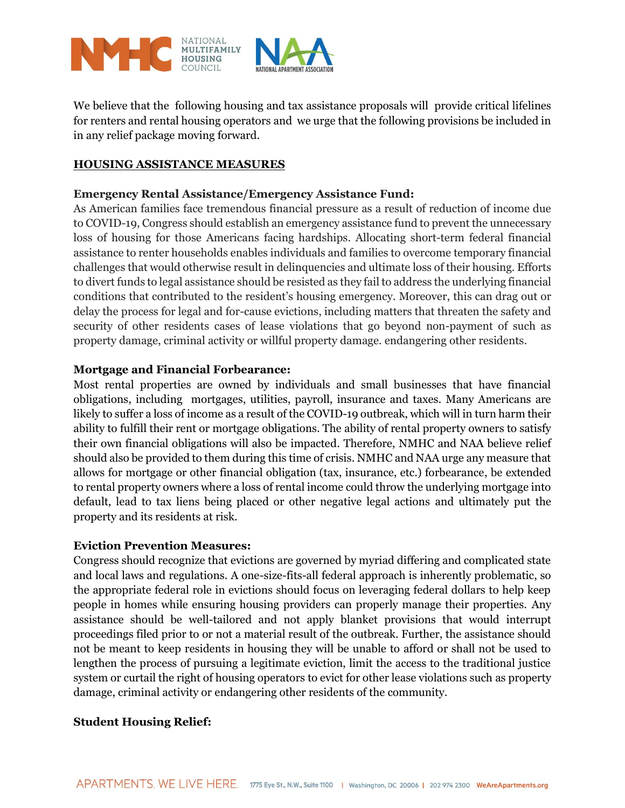

We believe that the following housing and tax assistance proposals will provide critical lifelines for renters and rental housing operators and we urge that the following provisions be included in in any relief package moving forward.

## **HOUSING ASSISTANCE MEASURES**

## **Emergency Rental Assistance/Emergency Assistance Fund:**

As American families face tremendous financial pressure as a result of reduction of income due to COVID-19, Congress should establish an emergency assistance fund to prevent the unnecessary loss of housing for those Americans facing hardships. Allocating short-term federal financial assistance to renter households enables individuals and families to overcome temporary financial challenges that would otherwise result in delinquencies and ultimate loss of their housing. Efforts to divert funds to legal assistance should be resisted as they fail to address the underlying financial conditions that contributed to the resident's housing emergency. Moreover, this can drag out or delay the process for legal and for-cause evictions, including matters that threaten the safety and security of other residents cases of lease violations that go beyond non-payment of such as property damage, criminal activity or willful property damage. endangering other residents.

### **Mortgage and Financial Forbearance:**

Most rental properties are owned by individuals and small businesses that have financial obligations, including mortgages, utilities, payroll, insurance and taxes. Many Americans are likely to suffer a loss of income as a result of the COVID-19 outbreak, which will in turn harm their ability to fulfill their rent or mortgage obligations. The ability of rental property owners to satisfy their own financial obligations will also be impacted. Therefore, NMHC and NAA believe relief should also be provided to them during this time of crisis. NMHC and NAA urge any measure that allows for mortgage or other financial obligation (tax, insurance, etc.) forbearance, be extended to rental property owners where a loss of rental income could throw the underlying mortgage into default, lead to tax liens being placed or other negative legal actions and ultimately put the property and its residents at risk.

#### **Eviction Prevention Measures:**

Congress should recognize that evictions are governed by myriad differing and complicated state and local laws and regulations. A one-size-fits-all federal approach is inherently problematic, so the appropriate federal role in evictions should focus on leveraging federal dollars to help keep people in homes while ensuring housing providers can properly manage their properties. Any assistance should be well-tailored and not apply blanket provisions that would interrupt proceedings filed prior to or not a material result of the outbreak. Further, the assistance should not be meant to keep residents in housing they will be unable to afford or shall not be used to lengthen the process of pursuing a legitimate eviction, limit the access to the traditional justice system or curtail the right of housing operators to evict for other lease violations such as property damage, criminal activity or endangering other residents of the community.

### **Student Housing Relief:**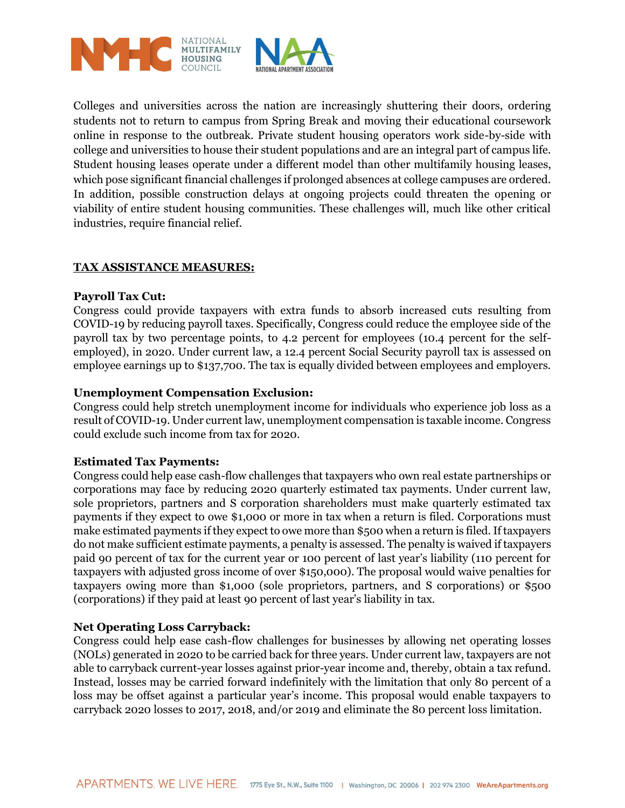

Colleges and universities across the nation are increasingly shuttering their doors, ordering students not to return to campus from Spring Break and moving their educational coursework online in response to the outbreak. Private student housing operators work side-by-side with college and universities to house their student populations and are an integral part of campus life. Student housing leases operate under a different model than other multifamily housing leases, which pose significant financial challenges if prolonged absences at college campuses are ordered. In addition, possible construction delays at ongoing projects could threaten the opening or viability of entire student housing communities. These challenges will, much like other critical industries, require financial relief.

# **TAX ASSISTANCE MEASURES:**

### **Payroll Tax Cut:**

Congress could provide taxpayers with extra funds to absorb increased cuts resulting from COVID-19 by reducing payroll taxes. Specifically, Congress could reduce the employee side of the payroll tax by two percentage points, to 4.2 percent for employees (10.4 percent for the selfemployed), in 2020. Under current law, a 12.4 percent Social Security payroll tax is assessed on employee earnings up to \$137,700. The tax is equally divided between employees and employers.

#### **Unemployment Compensation Exclusion:**

Congress could help stretch unemployment income for individuals who experience job loss as a result of COVID-19. Under current law, unemployment compensation is taxable income. Congress could exclude such income from tax for 2020.

#### **Estimated Tax Payments:**

Congress could help ease cash-flow challenges that taxpayers who own real estate partnerships or corporations may face by reducing 2020 quarterly estimated tax payments. Under current law, sole proprietors, partners and S corporation shareholders must make quarterly estimated tax payments if they expect to owe \$1,000 or more in tax when a return is filed. Corporations must make estimated payments if they expect to owe more than \$500 when a return is filed. If taxpayers do not make sufficient estimate payments, a penalty is assessed. The penalty is waived if taxpayers paid 90 percent of tax for the current year or 100 percent of last year's liability (110 percent for taxpayers with adjusted gross income of over \$150,000). The proposal would waive penalties for taxpayers owing more than \$1,000 (sole proprietors, partners, and S corporations) or \$500 (corporations) if they paid at least 90 percent of last year's liability in tax.

#### **Net Operating Loss Carryback:**

Congress could help ease cash-flow challenges for businesses by allowing net operating losses (NOLs) generated in 2020 to be carried back for three years. Under current law, taxpayers are not able to carryback current-year losses against prior-year income and, thereby, obtain a tax refund. Instead, losses may be carried forward indefinitely with the limitation that only 80 percent of a loss may be offset against a particular year's income. This proposal would enable taxpayers to carryback 2020 losses to 2017, 2018, and/or 2019 and eliminate the 80 percent loss limitation.